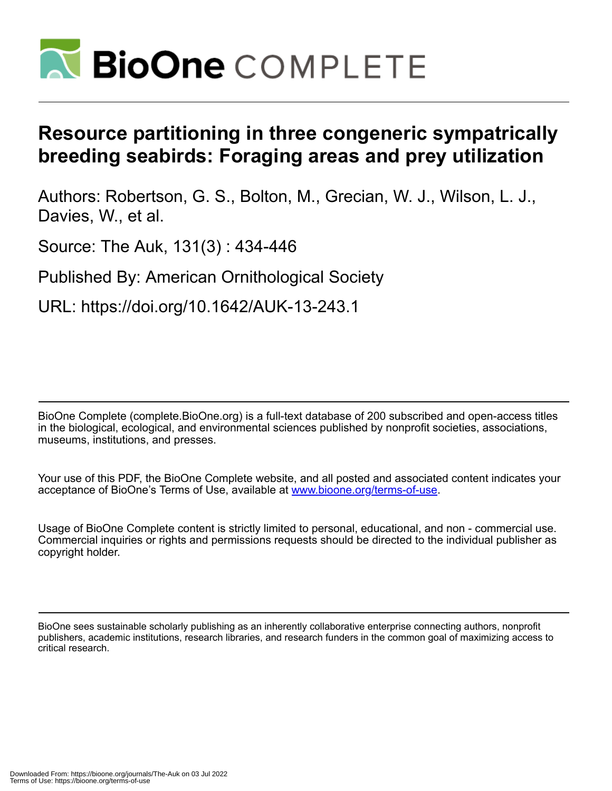

# **Resource partitioning in three congeneric sympatrically breeding seabirds: Foraging areas and prey utilization**

Authors: Robertson, G. S., Bolton, M., Grecian, W. J., Wilson, L. J., Davies, W., et al.

Source: The Auk, 131(3) : 434-446

Published By: American Ornithological Society

URL: https://doi.org/10.1642/AUK-13-243.1

BioOne Complete (complete.BioOne.org) is a full-text database of 200 subscribed and open-access titles in the biological, ecological, and environmental sciences published by nonprofit societies, associations, museums, institutions, and presses.

Your use of this PDF, the BioOne Complete website, and all posted and associated content indicates your acceptance of BioOne's Terms of Use, available at www.bioone.org/terms-of-use.

Usage of BioOne Complete content is strictly limited to personal, educational, and non - commercial use. Commercial inquiries or rights and permissions requests should be directed to the individual publisher as copyright holder.

BioOne sees sustainable scholarly publishing as an inherently collaborative enterprise connecting authors, nonprofit publishers, academic institutions, research libraries, and research funders in the common goal of maximizing access to critical research.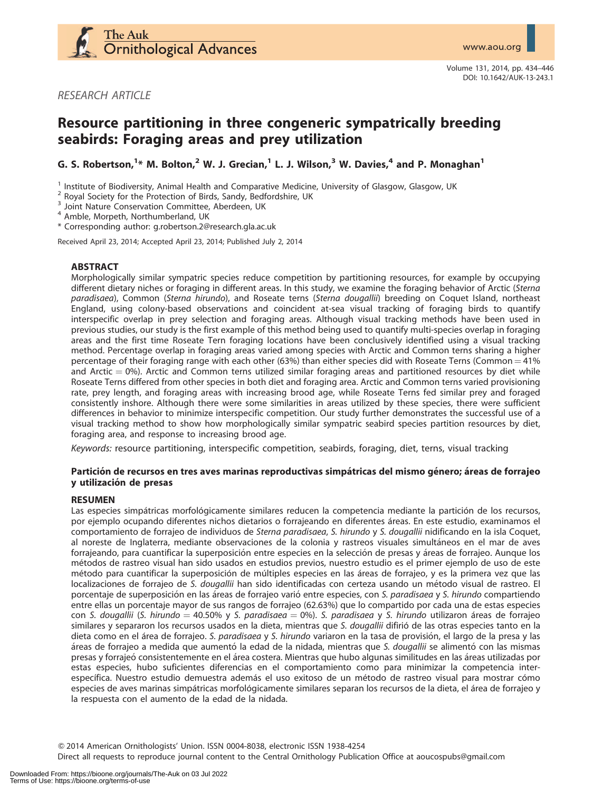

RESEARCH ARTICLE

# Resource partitioning in three congeneric sympatrically breeding seabirds: Foraging areas and prey utilization

G. S. Robertson, $^{1*}$  M. Bolton, $^{2}$  W. J. Grecian, $^{1}$  L. J. Wilson, $^{3}$  W. Davies, $^{4}$  and P. Monaghan $^{1}$ 

<sup>1</sup> Institute of Biodiversity, Animal Health and Comparative Medicine, University of Glasgow, Glasgow, UK  $^2$  Royal Society for the Protection of Birds, Sandy, Bedfordshire, UK  $^3$  Joint Nature Conservation Committee, A

\* Corresponding author: g.robertson.2@research.gla.ac.uk

Received April 23, 2014; Accepted April 23, 2014; Published July 2, 2014

# ABSTRACT

Morphologically similar sympatric species reduce competition by partitioning resources, for example by occupying different dietary niches or foraging in different areas. In this study, we examine the foraging behavior of Arctic (Sterna paradisaea), Common (Sterna hirundo), and Roseate terns (Sterna dougallii) breeding on Coquet Island, northeast England, using colony-based observations and coincident at-sea visual tracking of foraging birds to quantify interspecific overlap in prey selection and foraging areas. Although visual tracking methods have been used in previous studies, our study is the first example of this method being used to quantify multi-species overlap in foraging areas and the first time Roseate Tern foraging locations have been conclusively identified using a visual tracking method. Percentage overlap in foraging areas varied among species with Arctic and Common terns sharing a higher percentage of their foraging range with each other (63%) than either species did with Roseate Terns (Common  $=$  41% and Arctic  $= 0\%$ ). Arctic and Common terns utilized similar foraging areas and partitioned resources by diet while Roseate Terns differed from other species in both diet and foraging area. Arctic and Common terns varied provisioning rate, prey length, and foraging areas with increasing brood age, while Roseate Terns fed similar prey and foraged consistently inshore. Although there were some similarities in areas utilized by these species, there were sufficient differences in behavior to minimize interspecific competition. Our study further demonstrates the successful use of a visual tracking method to show how morphologically similar sympatric seabird species partition resources by diet, foraging area, and response to increasing brood age.

Keywords: resource partitioning, interspecific competition, seabirds, foraging, diet, terns, visual tracking

# Partición de recursos en tres aves marinas reproductivas simpátricas del mismo género; áreas de forrajeo y utilización de presas

# RESUMEN

Las especies simpátricas morfológicamente similares reducen la competencia mediante la partición de los recursos, por ejemplo ocupando diferentes nichos dietarios o forrajeando en diferentes áreas. En este estudio, examinamos el comportamiento de forrajeo de individuos de Sterna paradisaea, S. hirundo y S. dougallii nidificando en la isla Coquet, al noreste de Inglaterra, mediante observaciones de la colonia y rastreos visuales simultáneos en el mar de aves forrajeando, para cuantificar la superposición entre especies en la selección de presas y áreas de forrajeo. Aunque los metodos de rastreo visual han sido usados en estudios previos, nuestro estudio es el primer ejemplo de uso de este ´ método para cuantificar la superposición de múltiples especies en las áreas de forrajeo, y es la primera vez que las localizaciones de forrajeo de S. dougallii han sido identificadas con certeza usando un método visual de rastreo. El porcentaje de superposición en las áreas de forrajeo varió entre especies, con S. paradisaea y S. hirundo compartiendo entre ellas un porcentaje mayor de sus rangos de forrajeo (62.63%) que lo compartido por cada una de estas especies con S. dougallii (S. hirundo = 40.50% y S. paradisaea = 0%). S. paradisaea y S. hirundo utilizaron áreas de forrajeo similares y separaron los recursos usados en la dieta, mientras que S. dougallii difirió de las otras especies tanto en la dieta como en el área de forrajeo. S. paradisaea y S. hirundo variaron en la tasa de provisión, el largo de la presa y las áreas de forrajeo a medida que aumentó la edad de la nidada, mientras que S. dougallii se alimentó con las mismas presas y forrajeó consistentemente en el área costera. Mientras que hubo algunas similitudes en las áreas utilizadas por estas especies, hubo suficientes diferencias en el comportamiento como para minimizar la competencia interespecífica. Nuestro estudio demuestra además el uso exitoso de un método de rastreo visual para mostrar cómo especies de aves marinas simpátricas morfológicamente similares separan los recursos de la dieta, el área de forrajeo y la respuesta con el aumento de la edad de la nidada.

Direct all requests to reproduce journal content to the Central Ornithology Publication Office at aoucospubs@gmail.com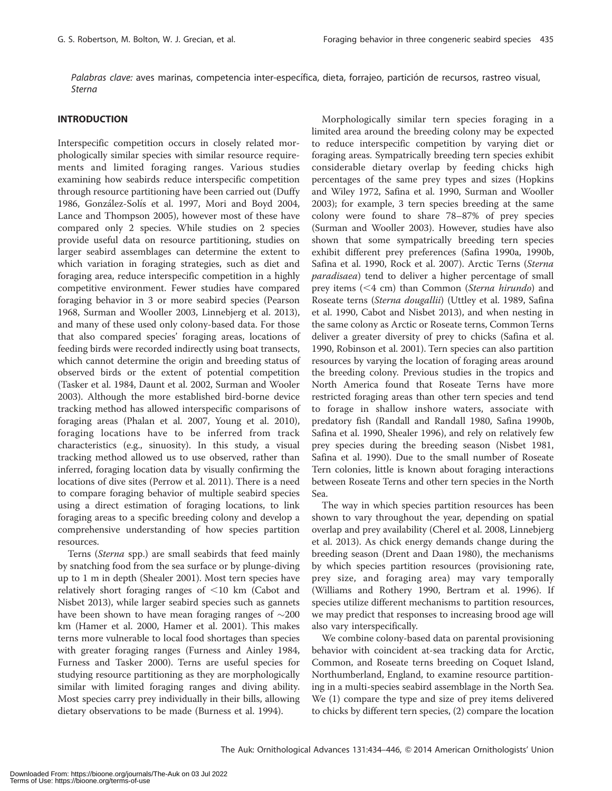Palabras clave: aves marinas, competencia inter-específica, dieta, forrajeo, partición de recursos, rastreo visual, Sterna

# INTRODUCTION

Interspecific competition occurs in closely related morphologically similar species with similar resource requirements and limited foraging ranges. Various studies examining how seabirds reduce interspecific competition through resource partitioning have been carried out (Duffy 1986, González-Solís et al. 1997, Mori and Boyd 2004, Lance and Thompson 2005), however most of these have compared only 2 species. While studies on 2 species provide useful data on resource partitioning, studies on larger seabird assemblages can determine the extent to which variation in foraging strategies, such as diet and foraging area, reduce interspecific competition in a highly competitive environment. Fewer studies have compared foraging behavior in 3 or more seabird species (Pearson 1968, Surman and Wooller 2003, Linnebjerg et al. 2013), and many of these used only colony-based data. For those that also compared species' foraging areas, locations of feeding birds were recorded indirectly using boat transects, which cannot determine the origin and breeding status of observed birds or the extent of potential competition (Tasker et al. 1984, Daunt et al. 2002, Surman and Wooler 2003). Although the more established bird-borne device tracking method has allowed interspecific comparisons of foraging areas (Phalan et al. 2007, Young et al. 2010), foraging locations have to be inferred from track characteristics (e.g., sinuosity). In this study, a visual tracking method allowed us to use observed, rather than inferred, foraging location data by visually confirming the locations of dive sites (Perrow et al. 2011). There is a need to compare foraging behavior of multiple seabird species using a direct estimation of foraging locations, to link foraging areas to a specific breeding colony and develop a comprehensive understanding of how species partition resources.

Terns (Sterna spp.) are small seabirds that feed mainly by snatching food from the sea surface or by plunge-diving up to 1 m in depth (Shealer 2001). Most tern species have relatively short foraging ranges of  $\leq 10$  km (Cabot and Nisbet 2013), while larger seabird species such as gannets have been shown to have mean foraging ranges of  $\sim$ 200 km (Hamer et al. 2000, Hamer et al. 2001). This makes terns more vulnerable to local food shortages than species with greater foraging ranges (Furness and Ainley 1984, Furness and Tasker 2000). Terns are useful species for studying resource partitioning as they are morphologically similar with limited foraging ranges and diving ability. Most species carry prey individually in their bills, allowing dietary observations to be made (Burness et al. 1994).

Morphologically similar tern species foraging in a limited area around the breeding colony may be expected to reduce interspecific competition by varying diet or foraging areas. Sympatrically breeding tern species exhibit considerable dietary overlap by feeding chicks high percentages of the same prey types and sizes (Hopkins and Wiley 1972, Safina et al. 1990, Surman and Wooller 2003); for example, 3 tern species breeding at the same colony were found to share 78–87% of prey species (Surman and Wooller 2003). However, studies have also shown that some sympatrically breeding tern species exhibit different prey preferences (Safina 1990a, 1990b, Safina et al. 1990, Rock et al. 2007). Arctic Terns (Sterna paradisaea) tend to deliver a higher percentage of small prey items  $( $4 \text{ cm}$ ) than Common (*Sterna hirundo*) and$ Roseate terns (Sterna dougallii) (Uttley et al. 1989, Safina et al. 1990, Cabot and Nisbet 2013), and when nesting in the same colony as Arctic or Roseate terns, Common Terns deliver a greater diversity of prey to chicks (Safina et al. 1990, Robinson et al. 2001). Tern species can also partition resources by varying the location of foraging areas around the breeding colony. Previous studies in the tropics and North America found that Roseate Terns have more restricted foraging areas than other tern species and tend to forage in shallow inshore waters, associate with predatory fish (Randall and Randall 1980, Safina 1990b, Safina et al. 1990, Shealer 1996), and rely on relatively few prey species during the breeding season (Nisbet 1981, Safina et al. 1990). Due to the small number of Roseate Tern colonies, little is known about foraging interactions between Roseate Terns and other tern species in the North Sea.

The way in which species partition resources has been shown to vary throughout the year, depending on spatial overlap and prey availability (Cherel et al. 2008, Linnebjerg et al. 2013). As chick energy demands change during the breeding season (Drent and Daan 1980), the mechanisms by which species partition resources (provisioning rate, prey size, and foraging area) may vary temporally (Williams and Rothery 1990, Bertram et al. 1996). If species utilize different mechanisms to partition resources, we may predict that responses to increasing brood age will also vary interspecifically.

We combine colony-based data on parental provisioning behavior with coincident at-sea tracking data for Arctic, Common, and Roseate terns breeding on Coquet Island, Northumberland, England, to examine resource partitioning in a multi-species seabird assemblage in the North Sea. We (1) compare the type and size of prey items delivered to chicks by different tern species, (2) compare the location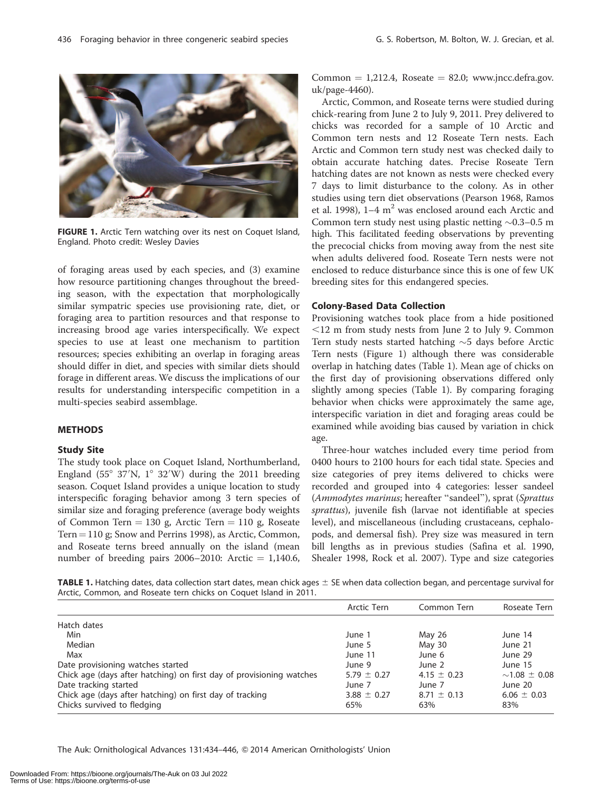

FIGURE 1. Arctic Tern watching over its nest on Coquet Island, England. Photo credit: Wesley Davies

of foraging areas used by each species, and (3) examine how resource partitioning changes throughout the breeding season, with the expectation that morphologically similar sympatric species use provisioning rate, diet, or foraging area to partition resources and that response to increasing brood age varies interspecifically. We expect species to use at least one mechanism to partition resources; species exhibiting an overlap in foraging areas should differ in diet, and species with similar diets should forage in different areas. We discuss the implications of our results for understanding interspecific competition in a multi-species seabird assemblage.

#### METHODS

#### Study Site

The study took place on Coquet Island, Northumberland, England  $(55^{\circ}$  37'N, 1 $^{\circ}$  32'W) during the 2011 breeding season. Coquet Island provides a unique location to study interspecific foraging behavior among 3 tern species of similar size and foraging preference (average body weights of Common Tern = 130 g, Arctic Tern = 110 g, Roseate Tern  $=$  110 g; Snow and Perrins 1998), as Arctic, Common, and Roseate terns breed annually on the island (mean number of breeding pairs  $2006-2010$ : Arctic = 1,140.6,

Common  $= 1,212.4$ , Roseate  $= 82.0$ ; www.jncc.defra.gov. uk/page-4460).

Arctic, Common, and Roseate terns were studied during chick-rearing from June 2 to July 9, 2011. Prey delivered to chicks was recorded for a sample of 10 Arctic and Common tern nests and 12 Roseate Tern nests. Each Arctic and Common tern study nest was checked daily to obtain accurate hatching dates. Precise Roseate Tern hatching dates are not known as nests were checked every 7 days to limit disturbance to the colony. As in other studies using tern diet observations (Pearson 1968, Ramos et al. 1998),  $1-4$  m<sup>2</sup> was enclosed around each Arctic and Common tern study nest using plastic netting  $\sim$ 0.3–0.5 m high. This facilitated feeding observations by preventing the precocial chicks from moving away from the nest site when adults delivered food. Roseate Tern nests were not enclosed to reduce disturbance since this is one of few UK breeding sites for this endangered species.

#### Colony-Based Data Collection

Provisioning watches took place from a hide positioned  $<$ 12 m from study nests from June 2 to July 9. Common Tern study nests started hatching  $\sim$  5 days before Arctic Tern nests (Figure 1) although there was considerable overlap in hatching dates (Table 1). Mean age of chicks on the first day of provisioning observations differed only slightly among species (Table 1). By comparing foraging behavior when chicks were approximately the same age, interspecific variation in diet and foraging areas could be examined while avoiding bias caused by variation in chick age.

Three-hour watches included every time period from 0400 hours to 2100 hours for each tidal state. Species and size categories of prey items delivered to chicks were recorded and grouped into 4 categories: lesser sandeel (Ammodytes marinus; hereafter ''sandeel''), sprat (Sprattus sprattus), juvenile fish (larvae not identifiable at species level), and miscellaneous (including crustaceans, cephalopods, and demersal fish). Prey size was measured in tern bill lengths as in previous studies (Safina et al. 1990, Shealer 1998, Rock et al. 2007). Type and size categories

TABLE 1. Hatching dates, data collection start dates, mean chick ages  $\pm$  SE when data collection began, and percentage survival for Arctic, Common, and Roseate tern chicks on Coquet Island in 2011.

|                                                                      | Arctic Tern     | Common Tern     | Roseate Tern           |
|----------------------------------------------------------------------|-----------------|-----------------|------------------------|
| Hatch dates                                                          |                 |                 |                        |
| Min                                                                  | June 1          | May 26          | June 14                |
| Median                                                               | June 5          | May 30          | June 21                |
| Max                                                                  | June 11         | June 6          | June 29                |
| Date provisioning watches started                                    | June 9          | June 2          | June 15                |
| Chick age (days after hatching) on first day of provisioning watches | $5.79 \pm 0.27$ | $4.15 \pm 0.23$ | $\sim$ 1.08 $\pm$ 0.08 |
| Date tracking started                                                | June 7          | June 7          | June 20                |
| Chick age (days after hatching) on first day of tracking             | $3.88 \pm 0.27$ | $8.71 \pm 0.13$ | $6.06 \pm 0.03$        |
| Chicks survived to fledging                                          | 65%             | 63%             | 83%                    |

The Auk: Ornithological Advances 131:434–446, Q 2014 American Ornithologists' Union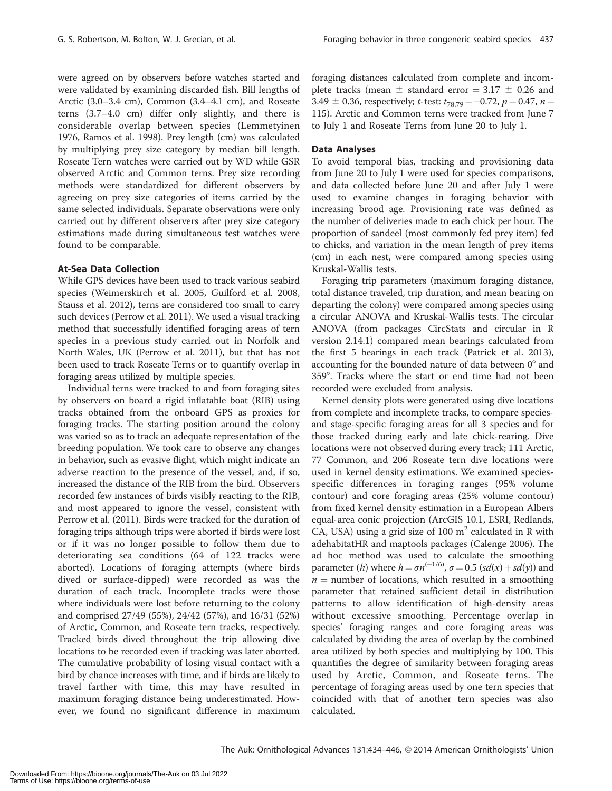were agreed on by observers before watches started and were validated by examining discarded fish. Bill lengths of Arctic (3.0–3.4 cm), Common (3.4–4.1 cm), and Roseate terns (3.7–4.0 cm) differ only slightly, and there is considerable overlap between species (Lemmetyinen 1976, Ramos et al. 1998). Prey length (cm) was calculated by multiplying prey size category by median bill length. Roseate Tern watches were carried out by WD while GSR observed Arctic and Common terns. Prey size recording methods were standardized for different observers by agreeing on prey size categories of items carried by the same selected individuals. Separate observations were only carried out by different observers after prey size category estimations made during simultaneous test watches were found to be comparable.

# At-Sea Data Collection

While GPS devices have been used to track various seabird species (Weimerskirch et al. 2005, Guilford et al. 2008, Stauss et al. 2012), terns are considered too small to carry such devices (Perrow et al. 2011). We used a visual tracking method that successfully identified foraging areas of tern species in a previous study carried out in Norfolk and North Wales, UK (Perrow et al. 2011), but that has not been used to track Roseate Terns or to quantify overlap in foraging areas utilized by multiple species.

Individual terns were tracked to and from foraging sites by observers on board a rigid inflatable boat (RIB) using tracks obtained from the onboard GPS as proxies for foraging tracks. The starting position around the colony was varied so as to track an adequate representation of the breeding population. We took care to observe any changes in behavior, such as evasive flight, which might indicate an adverse reaction to the presence of the vessel, and, if so, increased the distance of the RIB from the bird. Observers recorded few instances of birds visibly reacting to the RIB, and most appeared to ignore the vessel, consistent with Perrow et al. (2011). Birds were tracked for the duration of foraging trips although trips were aborted if birds were lost or if it was no longer possible to follow them due to deteriorating sea conditions (64 of 122 tracks were aborted). Locations of foraging attempts (where birds dived or surface-dipped) were recorded as was the duration of each track. Incomplete tracks were those where individuals were lost before returning to the colony and comprised 27/49 (55%), 24/42 (57%), and 16/31 (52%) of Arctic, Common, and Roseate tern tracks, respectively. Tracked birds dived throughout the trip allowing dive locations to be recorded even if tracking was later aborted. The cumulative probability of losing visual contact with a bird by chance increases with time, and if birds are likely to travel farther with time, this may have resulted in maximum foraging distance being underestimated. However, we found no significant difference in maximum

foraging distances calculated from complete and incomplete tracks (mean  $\pm$  standard error = 3.17  $\pm$  0.26 and 3.49  $\pm$  0.36, respectively; *t*-test:  $t_{78.79} = -0.72$ ,  $p = 0.47$ ,  $n =$ 115). Arctic and Common terns were tracked from June 7 to July 1 and Roseate Terns from June 20 to July 1.

# Data Analyses

To avoid temporal bias, tracking and provisioning data from June 20 to July 1 were used for species comparisons, and data collected before June 20 and after July 1 were used to examine changes in foraging behavior with increasing brood age. Provisioning rate was defined as the number of deliveries made to each chick per hour. The proportion of sandeel (most commonly fed prey item) fed to chicks, and variation in the mean length of prey items (cm) in each nest, were compared among species using Kruskal-Wallis tests.

Foraging trip parameters (maximum foraging distance, total distance traveled, trip duration, and mean bearing on departing the colony) were compared among species using a circular ANOVA and Kruskal-Wallis tests. The circular ANOVA (from packages CircStats and circular in R version 2.14.1) compared mean bearings calculated from the first 5 bearings in each track (Patrick et al. 2013), accounting for the bounded nature of data between  $0^{\circ}$  and 359°. Tracks where the start or end time had not been recorded were excluded from analysis.

Kernel density plots were generated using dive locations from complete and incomplete tracks, to compare speciesand stage-specific foraging areas for all 3 species and for those tracked during early and late chick-rearing. Dive locations were not observed during every track; 111 Arctic, 77 Common, and 206 Roseate tern dive locations were used in kernel density estimations. We examined speciesspecific differences in foraging ranges (95% volume contour) and core foraging areas (25% volume contour) from fixed kernel density estimation in a European Albers equal-area conic projection (ArcGIS 10.1, ESRI, Redlands, CA, USA) using a grid size of 100  $m<sup>2</sup>$  calculated in R with adehabitatHR and maptools packages (Calenge 2006). The ad hoc method was used to calculate the smoothing parameter (h) where  $h = \sigma n^{(-1/6)}$ ,  $\sigma = 0.5$  (sd(x) + sd(y)) and  $n =$  number of locations, which resulted in a smoothing parameter that retained sufficient detail in distribution patterns to allow identification of high-density areas without excessive smoothing. Percentage overlap in species' foraging ranges and core foraging areas was calculated by dividing the area of overlap by the combined area utilized by both species and multiplying by 100. This quantifies the degree of similarity between foraging areas used by Arctic, Common, and Roseate terns. The percentage of foraging areas used by one tern species that coincided with that of another tern species was also calculated.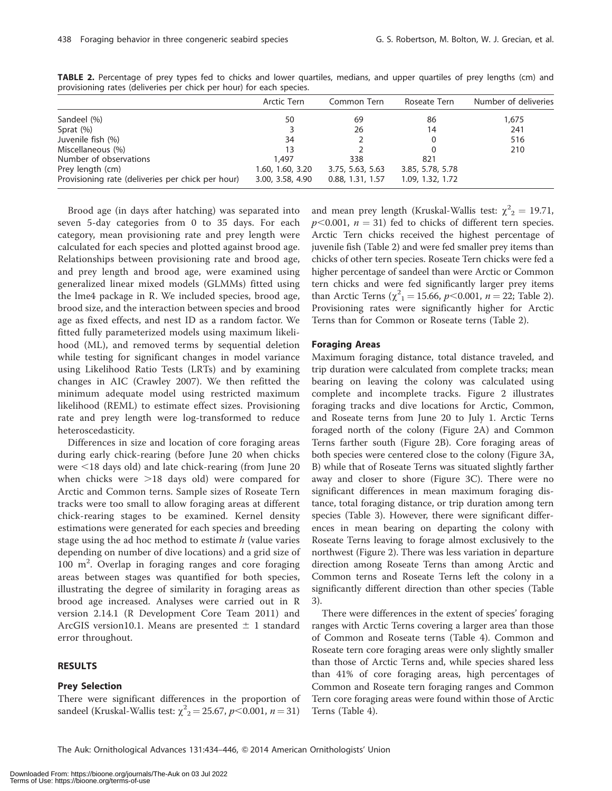|                                                   | Arctic Tern      | Common Tern      | Roseate Tern     | Number of deliveries |
|---------------------------------------------------|------------------|------------------|------------------|----------------------|
| Sandeel (%)                                       | 50               | 69               | 86               | 1,675                |
| Sprat $(\%)$                                      |                  | 26               | 14               | 241                  |
| Juvenile fish (%)                                 | 34               |                  |                  | 516                  |
| Miscellaneous (%)                                 | 13               |                  |                  | 210                  |
| Number of observations                            | 1.497            | 338              | 821              |                      |
| Prey length (cm)                                  | 1.60, 1.60, 3.20 | 3.75, 5.63, 5.63 | 3.85, 5.78, 5.78 |                      |
| Provisioning rate (deliveries per chick per hour) | 3.00, 3.58, 4.90 | 0.88, 1.31, 1.57 | 1.09, 1.32, 1.72 |                      |

TABLE 2. Percentage of prey types fed to chicks and lower quartiles, medians, and upper quartiles of prey lengths (cm) and provisioning rates (deliveries per chick per hour) for each species.

Brood age (in days after hatching) was separated into seven 5-day categories from 0 to 35 days. For each category, mean provisioning rate and prey length were calculated for each species and plotted against brood age. Relationships between provisioning rate and brood age, and prey length and brood age, were examined using generalized linear mixed models (GLMMs) fitted using the lme4 package in R. We included species, brood age, brood size, and the interaction between species and brood age as fixed effects, and nest ID as a random factor. We fitted fully parameterized models using maximum likelihood (ML), and removed terms by sequential deletion while testing for significant changes in model variance using Likelihood Ratio Tests (LRTs) and by examining changes in AIC (Crawley 2007). We then refitted the minimum adequate model using restricted maximum likelihood (REML) to estimate effect sizes. Provisioning rate and prey length were log-transformed to reduce heteroscedasticity.

Differences in size and location of core foraging areas during early chick-rearing (before June 20 when chicks were  $\leq$ 18 days old) and late chick-rearing (from June 20 when chicks were  $>18$  days old) were compared for Arctic and Common terns. Sample sizes of Roseate Tern tracks were too small to allow foraging areas at different chick-rearing stages to be examined. Kernel density estimations were generated for each species and breeding stage using the ad hoc method to estimate  $h$  (value varies depending on number of dive locations) and a grid size of 100 m<sup>2</sup>. Overlap in foraging ranges and core foraging areas between stages was quantified for both species, illustrating the degree of similarity in foraging areas as brood age increased. Analyses were carried out in R version 2.14.1 (R Development Core Team 2011) and ArcGIS version10.1. Means are presented  $\pm$  1 standard error throughout.

#### RESULTS

#### Prey Selection

There were significant differences in the proportion of sandeel (Kruskal-Wallis test:  $\chi^2_{\;\; 2}$  = 25.67,  $p$ <0.001,  $n$  = 31)

and mean prey length (Kruskal-Wallis test:  $\chi^2_{2} = 19.71$ ,  $p<0.001$ ,  $n = 31$ ) fed to chicks of different tern species. Arctic Tern chicks received the highest percentage of juvenile fish (Table 2) and were fed smaller prey items than chicks of other tern species. Roseate Tern chicks were fed a higher percentage of sandeel than were Arctic or Common tern chicks and were fed significantly larger prey items than Arctic Terns ( $\chi^2_{1} = 15.66$ ,  $p<0.001$ ,  $n = 22$ ; Table 2). Provisioning rates were significantly higher for Arctic Terns than for Common or Roseate terns (Table 2).

#### Foraging Areas

Maximum foraging distance, total distance traveled, and trip duration were calculated from complete tracks; mean bearing on leaving the colony was calculated using complete and incomplete tracks. Figure 2 illustrates foraging tracks and dive locations for Arctic, Common, and Roseate terns from June 20 to July 1. Arctic Terns foraged north of the colony (Figure 2A) and Common Terns farther south (Figure 2B). Core foraging areas of both species were centered close to the colony (Figure 3A, B) while that of Roseate Terns was situated slightly farther away and closer to shore (Figure 3C). There were no significant differences in mean maximum foraging distance, total foraging distance, or trip duration among tern species (Table 3). However, there were significant differences in mean bearing on departing the colony with Roseate Terns leaving to forage almost exclusively to the northwest (Figure 2). There was less variation in departure direction among Roseate Terns than among Arctic and Common terns and Roseate Terns left the colony in a significantly different direction than other species (Table 3).

There were differences in the extent of species' foraging ranges with Arctic Terns covering a larger area than those of Common and Roseate terns (Table 4). Common and Roseate tern core foraging areas were only slightly smaller than those of Arctic Terns and, while species shared less than 41% of core foraging areas, high percentages of Common and Roseate tern foraging ranges and Common Tern core foraging areas were found within those of Arctic Terns (Table 4).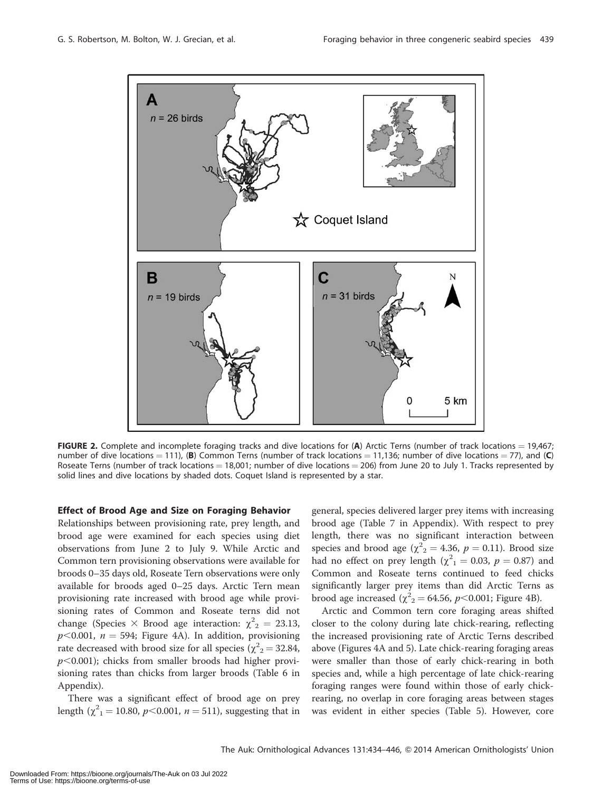

FIGURE 2. Complete and incomplete foraging tracks and dive locations for (A) Arctic Terns (number of track locations = 19,467; number of dive locations = 111), (B) Common Terns (number of track locations = 11,136; number of dive locations = 77), and (C) Roseate Terns (number of track locations = 18,001; number of dive locations = 206) from June 20 to July 1. Tracks represented by solid lines and dive locations by shaded dots. Coquet Island is represented by a star.

#### Effect of Brood Age and Size on Foraging Behavior

Relationships between provisioning rate, prey length, and brood age were examined for each species using diet observations from June 2 to July 9. While Arctic and Common tern provisioning observations were available for broods 0–35 days old, Roseate Tern observations were only available for broods aged 0–25 days. Arctic Tern mean provisioning rate increased with brood age while provisioning rates of Common and Roseate terns did not change (Species  $\times$  Brood age interaction:  $\chi^2_{2} = 23.13$ ,  $p<0.001$ ,  $n = 594$ ; Figure 4A). In addition, provisioning rate decreased with brood size for all species ( $\chi^2_{2} = 32.84$ ,  $p<0.001$ ); chicks from smaller broods had higher provisioning rates than chicks from larger broods (Table 6 in Appendix).

There was a significant effect of brood age on prey length ( $\chi^2_{\ 1}$  = 10.80, p<0.001, n = 511), suggesting that in

general, species delivered larger prey items with increasing brood age (Table 7 in Appendix). With respect to prey length, there was no significant interaction between species and brood age ( $\chi^2$ <sub>2</sub> = 4.36, *p* = 0.11). Brood size had no effect on prey length ( $\chi^2_{1} = 0.03$ ,  $p = 0.87$ ) and Common and Roseate terns continued to feed chicks significantly larger prey items than did Arctic Terns as brood age increased ( $\chi^2{}_2$  = 64.56, *p*<0.001; Figure 4B).

Arctic and Common tern core foraging areas shifted closer to the colony during late chick-rearing, reflecting the increased provisioning rate of Arctic Terns described above (Figures 4A and 5). Late chick-rearing foraging areas were smaller than those of early chick-rearing in both species and, while a high percentage of late chick-rearing foraging ranges were found within those of early chickrearing, no overlap in core foraging areas between stages was evident in either species (Table 5). However, core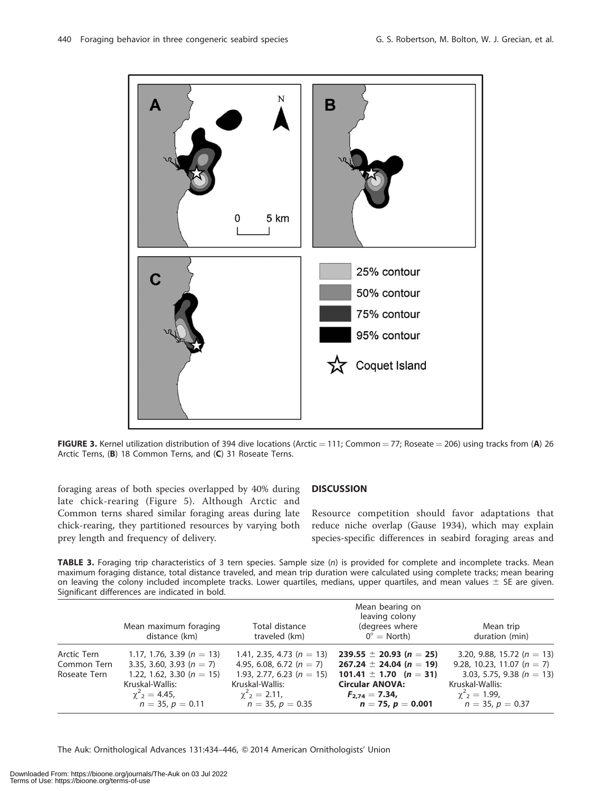

FIGURE 3. Kernel utilization distribution of 394 dive locations (Arctic = 111; Common = 77; Roseate = 206) using tracks from (A) 26 Arctic Terns, (B) 18 Common Terns, and (C) 31 Roseate Terns.

foraging areas of both species overlapped by 40% during late chick-rearing (Figure 5). Although Arctic and Common terns shared similar foraging areas during late chick-rearing, they partitioned resources by varying both prey length and frequency of delivery.

# **DISCUSSION**

Resource competition should favor adaptations that reduce niche overlap (Gause 1934), which may explain species-specific differences in seabird foraging areas and

TABLE 3. Foraging trip characteristics of 3 tern species. Sample size  $(n)$  is provided for complete and incomplete tracks. Mean maximum foraging distance, total distance traveled, and mean trip duration were calculated using complete tracks; mean bearing on leaving the colony included incomplete tracks. Lower quartiles, medians, upper quartiles, and mean values  $\pm$  SE are given. Significant differences are indicated in bold.

|              | Mean maximum foraging<br>distance (km) | Total distance<br>traveled (km) | Mean bearing on<br>leaving colony<br>(degrees where<br>$0^\circ = \text{North}$ | Mean trip<br>duration (min)    |
|--------------|----------------------------------------|---------------------------------|---------------------------------------------------------------------------------|--------------------------------|
| Arctic Tern  | 1.17, 1.76, 3.39 ( $n = 13$ )          | 1.41, 2.35, 4.73 $(n = 13)$     | $239.55 \pm 20.93$ (n = 25)                                                     | 3.20, 9.88, 15.72 ( $n = 13$ ) |
| Common Tern  | 3.35, 3.60, 3.93 $(n = 7)$             | 4.95, 6.08, 6.72 $(n = 7)$      | $267.24 \pm 24.04$ (n = 19)                                                     | 9.28, 10.23, 11.07 ( $n = 7$ ) |
| Roseate Tern | 1.22, 1.62, 3.30 ( $n = 15$ )          | 1.93, 2.77, 6.23 $(n = 15)$     | 101.41 $\pm$ 1.70 (n = 31)                                                      | 3.03, 5.75, 9.38 $(n = 13)$    |
|              | Kruskal-Wallis:                        | Kruskal-Wallis:                 | <b>Circular ANOVA:</b>                                                          | Kruskal-Wallis:                |
|              | $\gamma^2$ <sub>2</sub> = 4.45,        | $\chi^2$ <sub>2</sub> = 2.11,   | $F_{2,74} = 7.34$                                                               | $\chi^2$ <sub>2</sub> = 1.99,  |
|              | $n = 35, p = 0.11$                     | $n = 35, p = 0.35$              | $n = 75, p = 0.001$                                                             | $n = 35, p = 0.37$             |

The Auk: Ornithological Advances 131:434-446, @ 2014 American Ornithologists' Union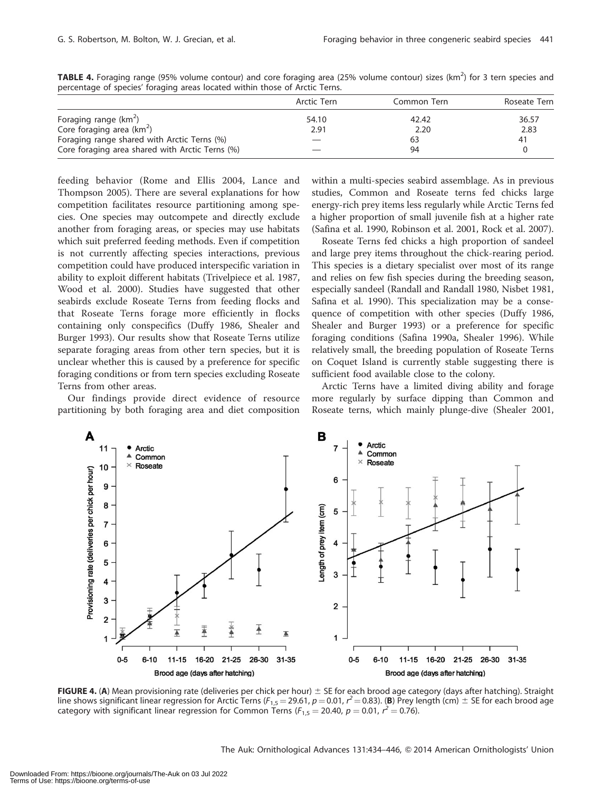|  |  |  |  |  | TABLE 4. Foraging range (95% volume contour) and core foraging area (25% volume contour) sizes (km <sup>2</sup> ) for 3 tern species and |  |  |  |  |  |
|--|--|--|--|--|------------------------------------------------------------------------------------------------------------------------------------------|--|--|--|--|--|
|  |  |  |  |  | percentage of species' foraging areas located within those of Arctic Terns.                                                              |  |  |  |  |  |

|                                                 | Arctic Tern | Common Tern | Roseate Tern |
|-------------------------------------------------|-------------|-------------|--------------|
| Foraging range $(km^2)$                         | 54.10       | 42.42       | 36.57        |
| Core foraging area (km <sup>2</sup> )           | 2.91        | 2.20        | 2.83         |
| Foraging range shared with Arctic Terns (%)     |             | 63          | 41           |
| Core foraging area shared with Arctic Terns (%) |             | 94          |              |

feeding behavior (Rome and Ellis 2004, Lance and Thompson 2005). There are several explanations for how competition facilitates resource partitioning among species. One species may outcompete and directly exclude another from foraging areas, or species may use habitats which suit preferred feeding methods. Even if competition is not currently affecting species interactions, previous competition could have produced interspecific variation in ability to exploit different habitats (Trivelpiece et al. 1987, Wood et al. 2000). Studies have suggested that other seabirds exclude Roseate Terns from feeding flocks and that Roseate Terns forage more efficiently in flocks containing only conspecifics (Duffy 1986, Shealer and Burger 1993). Our results show that Roseate Terns utilize separate foraging areas from other tern species, but it is unclear whether this is caused by a preference for specific foraging conditions or from tern species excluding Roseate Terns from other areas.

Our findings provide direct evidence of resource partitioning by both foraging area and diet composition

within a multi-species seabird assemblage. As in previous studies, Common and Roseate terns fed chicks large energy-rich prey items less regularly while Arctic Terns fed a higher proportion of small juvenile fish at a higher rate (Safina et al. 1990, Robinson et al. 2001, Rock et al. 2007).

Roseate Terns fed chicks a high proportion of sandeel and large prey items throughout the chick-rearing period. This species is a dietary specialist over most of its range and relies on few fish species during the breeding season, especially sandeel (Randall and Randall 1980, Nisbet 1981, Safina et al. 1990). This specialization may be a consequence of competition with other species (Duffy 1986, Shealer and Burger 1993) or a preference for specific foraging conditions (Safina 1990a, Shealer 1996). While relatively small, the breeding population of Roseate Terns on Coquet Island is currently stable suggesting there is sufficient food available close to the colony.

Arctic Terns have a limited diving ability and forage more regularly by surface dipping than Common and Roseate terns, which mainly plunge-dive (Shealer 2001,



FIGURE 4. (A) Mean provisioning rate (deliveries per chick per hour)  $\pm$  SE for each brood age category (days after hatching). Straight line shows significant linear regression for Arctic Terns ( $F_{1,5}$   $=$  29.61,  $p$   $=$  0.01,  $r^2$   $=$  0.83). (B) Prey length (cm)  $\pm$  SE for each brood age category with significant linear regression for Common Terns ( $F_{1,5} = 20.40$ ,  $p = 0.01$ ,  $r^2 = 0.76$ ).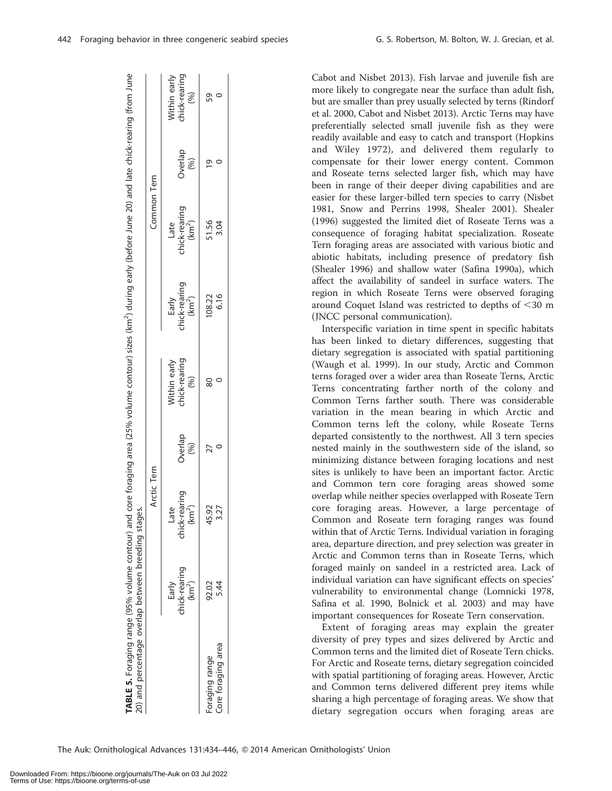|  |  | 442 Foraging behavior in three congeneric seabird species |  |
|--|--|-----------------------------------------------------------|--|
|  |  |                                                           |  |

|                                     |                                              | Arctic Tern                                 |                |                                       |                                              | Common Tern                                 |                |                                       |
|-------------------------------------|----------------------------------------------|---------------------------------------------|----------------|---------------------------------------|----------------------------------------------|---------------------------------------------|----------------|---------------------------------------|
|                                     | chick-rearing<br>(km <sup>2</sup> )<br>Early | chick-rearing<br>(km <sup>2</sup> )<br>Late | Overlap<br>(%) | chick-rearing<br>Within early<br>(96) | Early<br>:hick-rearing<br>(km <sup>2</sup> ) | chick-rearing<br>(km <sup>2</sup> )<br>Late | Overlap<br>(%) | Within early<br>chick-rearing<br>(96) |
| Core foraging area<br>oraging range | 5.44<br>92.02                                | 45.92<br>27                                 |                | 80                                    | 6.16<br>108.22                               | 51.56<br>3.04                               |                | 59                                    |

Cabot and Nisbet 2013). Fish larvae and juvenile fish are more likely to congregate near the surface than adult fish, but are smaller than prey usually selected by terns (Rindorf et al. 2000, Cabot and Nisbet 2013). Arctic Terns may have preferentially selected small juvenile fish as they were readily available and easy to catch and transport (Hopkins and Wiley 1972), and delivered them regularly to compensate for their lower energy content. Common and Roseate terns selected larger fish, which may have been in range of their deeper diving capabilities and are easier for these larger-billed tern species to carry (Nisbet 1981, Snow and Perrins 1998, Shealer 2001). Shealer (1996) suggested the limited diet of Roseate Terns was a consequence of foraging habitat specialization. Roseate Tern foraging areas are associated with various biotic and abiotic habitats, including presence of predatory fish (Shealer 1996) and shallow water (Safina 1990a), which affect the availability of sandeel in surface waters. The region in which Roseate Terns were observed foraging around Coquet Island was restricted to depths of  $<$ 30 m (JNCC personal communication).

Interspecific variation in time spent in specific habitats has been linked to dietary differences, suggesting that dietary segregation is associated with spatial partitioning (Waugh et al. 1999). In our study, Arctic and Common terns foraged over a wider area than Roseate Terns, Arctic Terns concentrating farther north of the colony and Common Terns farther south. There was considerable variation in the mean bearing in which Arctic and Common terns left the colony, while Roseate Terns departed consistently to the northwest. All 3 tern species nested mainly in the southwestern side of the island, so minimizing distance between foraging locations and nest sites is unlikely to have been an important factor. Arctic and Common tern core foraging areas showed some overlap while neither species overlapped with Roseate Tern core foraging areas. However, a large percentage of Common and Roseate tern foraging ranges was found within that of Arctic Terns. Individual variation in foraging area, departure direction, and prey selection was greater in Arctic and Common terns than in Roseate Terns, which foraged mainly on sandeel in a restricted area. Lack of individual variation can have significant effects on species' vulnerability to environmental change (Lomnicki 1978, Safina et al. 1990, Bolnick et al. 2003) and may have important consequences for Roseate Tern conservation.

Extent of foraging areas may explain the greater diversity of prey types and sizes delivered by Arctic and Common terns and the limited diet of Roseate Tern chicks. For Arctic and Roseate terns, dietary segregation coincided with spatial partitioning of foraging areas. However, Arctic and Common terns delivered different prey items while sharing a high percentage of foraging areas. We show that dietary segregation occurs when foraging areas are

The Auk: Ornithological Advances 131:434-446, © 2014 American Ornithologists' Union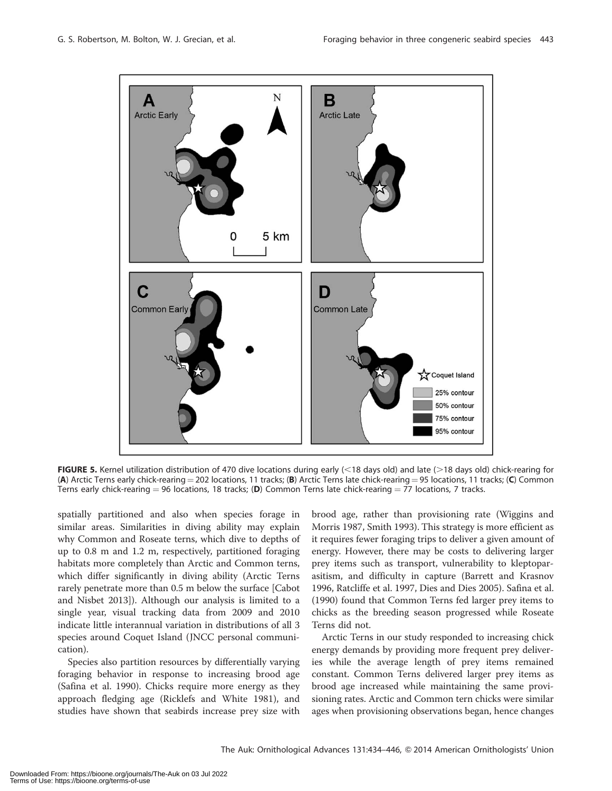

FIGURE 5. Kernel utilization distribution of 470 dive locations during early (<18 days old) and late (>18 days old) chick-rearing for (A) Arctic Terns early chick-rearing = 202 locations, 11 tracks; (B) Arctic Terns late chick-rearing = 95 locations, 11 tracks; (C) Common Terns early chick-rearing = 96 locations, 18 tracks; (D) Common Terns late chick-rearing = 77 locations, 7 tracks.

spatially partitioned and also when species forage in similar areas. Similarities in diving ability may explain why Common and Roseate terns, which dive to depths of up to 0.8 m and 1.2 m, respectively, partitioned foraging habitats more completely than Arctic and Common terns, which differ significantly in diving ability (Arctic Terns rarely penetrate more than 0.5 m below the surface [Cabot and Nisbet 2013]). Although our analysis is limited to a single year, visual tracking data from 2009 and 2010 indicate little interannual variation in distributions of all 3 species around Coquet Island (JNCC personal communication).

Species also partition resources by differentially varying foraging behavior in response to increasing brood age (Safina et al. 1990). Chicks require more energy as they approach fledging age (Ricklefs and White 1981), and studies have shown that seabirds increase prey size with

brood age, rather than provisioning rate (Wiggins and Morris 1987, Smith 1993). This strategy is more efficient as it requires fewer foraging trips to deliver a given amount of energy. However, there may be costs to delivering larger prey items such as transport, vulnerability to kleptoparasitism, and difficulty in capture (Barrett and Krasnov 1996, Ratcliffe et al. 1997, Dies and Dies 2005). Safina et al. (1990) found that Common Terns fed larger prey items to chicks as the breeding season progressed while Roseate Terns did not.

Arctic Terns in our study responded to increasing chick energy demands by providing more frequent prey deliveries while the average length of prey items remained constant. Common Terns delivered larger prey items as brood age increased while maintaining the same provisioning rates. Arctic and Common tern chicks were similar ages when provisioning observations began, hence changes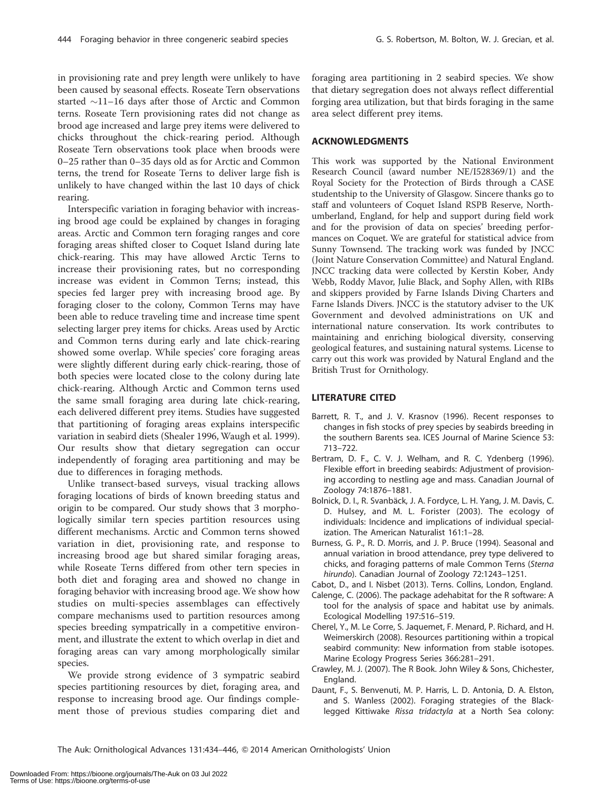in provisioning rate and prey length were unlikely to have been caused by seasonal effects. Roseate Tern observations started  $\sim$ 11–16 days after those of Arctic and Common terns. Roseate Tern provisioning rates did not change as brood age increased and large prey items were delivered to chicks throughout the chick-rearing period. Although Roseate Tern observations took place when broods were 0–25 rather than 0–35 days old as for Arctic and Common terns, the trend for Roseate Terns to deliver large fish is unlikely to have changed within the last 10 days of chick rearing.

Interspecific variation in foraging behavior with increasing brood age could be explained by changes in foraging areas. Arctic and Common tern foraging ranges and core foraging areas shifted closer to Coquet Island during late chick-rearing. This may have allowed Arctic Terns to increase their provisioning rates, but no corresponding increase was evident in Common Terns; instead, this species fed larger prey with increasing brood age. By foraging closer to the colony, Common Terns may have been able to reduce traveling time and increase time spent selecting larger prey items for chicks. Areas used by Arctic and Common terns during early and late chick-rearing showed some overlap. While species' core foraging areas were slightly different during early chick-rearing, those of both species were located close to the colony during late chick-rearing. Although Arctic and Common terns used the same small foraging area during late chick-rearing, each delivered different prey items. Studies have suggested that partitioning of foraging areas explains interspecific variation in seabird diets (Shealer 1996, Waugh et al. 1999). Our results show that dietary segregation can occur independently of foraging area partitioning and may be due to differences in foraging methods.

Unlike transect-based surveys, visual tracking allows foraging locations of birds of known breeding status and origin to be compared. Our study shows that 3 morphologically similar tern species partition resources using different mechanisms. Arctic and Common terns showed variation in diet, provisioning rate, and response to increasing brood age but shared similar foraging areas, while Roseate Terns differed from other tern species in both diet and foraging area and showed no change in foraging behavior with increasing brood age. We show how studies on multi-species assemblages can effectively compare mechanisms used to partition resources among species breeding sympatrically in a competitive environment, and illustrate the extent to which overlap in diet and foraging areas can vary among morphologically similar species.

We provide strong evidence of 3 sympatric seabird species partitioning resources by diet, foraging area, and response to increasing brood age. Our findings complement those of previous studies comparing diet and foraging area partitioning in 2 seabird species. We show that dietary segregation does not always reflect differential forging area utilization, but that birds foraging in the same area select different prey items.

#### ACKNOWLEDGMENTS

This work was supported by the National Environment Research Council (award number NE/I528369/1) and the Royal Society for the Protection of Birds through a CASE studentship to the University of Glasgow. Sincere thanks go to staff and volunteers of Coquet Island RSPB Reserve, Northumberland, England, for help and support during field work and for the provision of data on species' breeding performances on Coquet. We are grateful for statistical advice from Sunny Townsend. The tracking work was funded by JNCC (Joint Nature Conservation Committee) and Natural England. JNCC tracking data were collected by Kerstin Kober, Andy Webb, Roddy Mavor, Julie Black, and Sophy Allen, with RIBs and skippers provided by Farne Islands Diving Charters and Farne Islands Divers. JNCC is the statutory adviser to the UK Government and devolved administrations on UK and international nature conservation. Its work contributes to maintaining and enriching biological diversity, conserving geological features, and sustaining natural systems. License to carry out this work was provided by Natural England and the British Trust for Ornithology.

### LITERATURE CITED

- Barrett, R. T., and J. V. Krasnov (1996). Recent responses to changes in fish stocks of prey species by seabirds breeding in the southern Barents sea. ICES Journal of Marine Science 53: 713–722.
- Bertram, D. F., C. V. J. Welham, and R. C. Ydenberg (1996). Flexible effort in breeding seabirds: Adjustment of provisioning according to nestling age and mass. Canadian Journal of Zoology 74:1876–1881.
- Bolnick, D. I., R. Svanbäck, J. A. Fordyce, L. H. Yang, J. M. Davis, C. D. Hulsey, and M. L. Forister (2003). The ecology of individuals: Incidence and implications of individual specialization. The American Naturalist 161:1–28.
- Burness, G. P., R. D. Morris, and J. P. Bruce (1994). Seasonal and annual variation in brood attendance, prey type delivered to chicks, and foraging patterns of male Common Terns (Sterna hirundo). Canadian Journal of Zoology 72:1243–1251.
- Cabot, D., and I. Nisbet (2013). Terns. Collins, London, England.
- Calenge, C. (2006). The package adehabitat for the R software: A tool for the analysis of space and habitat use by animals. Ecological Modelling 197:516–519.
- Cherel, Y., M. Le Corre, S. Jaquemet, F. Menard, P. Richard, and H. Weimerskirch (2008). Resources partitioning within a tropical seabird community: New information from stable isotopes. Marine Ecology Progress Series 366:281–291.
- Crawley, M. J. (2007). The R Book. John Wiley & Sons, Chichester, England.
- Daunt, F., S. Benvenuti, M. P. Harris, L. D. Antonia, D. A. Elston, and S. Wanless (2002). Foraging strategies of the Blacklegged Kittiwake Rissa tridactyla at a North Sea colony:

The Auk: Ornithological Advances 131:434-446, © 2014 American Ornithologists' Union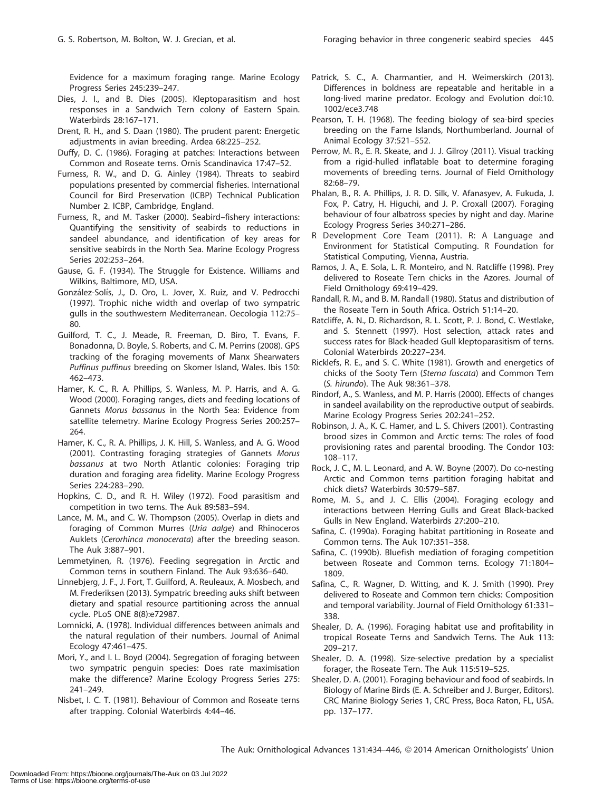Evidence for a maximum foraging range. Marine Ecology Progress Series 245:239–247.

- Dies, J. I., and B. Dies (2005). Kleptoparasitism and host responses in a Sandwich Tern colony of Eastern Spain. Waterbirds 28:167–171.
- Drent, R. H., and S. Daan (1980). The prudent parent: Energetic adjustments in avian breeding. Ardea 68:225–252.
- Duffy, D. C. (1986). Foraging at patches: Interactions between Common and Roseate terns. Ornis Scandinavica 17:47–52.
- Furness, R. W., and D. G. Ainley (1984). Threats to seabird populations presented by commercial fisheries. International Council for Bird Preservation (ICBP) Technical Publication Number 2. ICBP, Cambridge, England.
- Furness, R., and M. Tasker (2000). Seabird–fishery interactions: Quantifying the sensitivity of seabirds to reductions in sandeel abundance, and identification of key areas for sensitive seabirds in the North Sea. Marine Ecology Progress Series 202:253–264.
- Gause, G. F. (1934). The Struggle for Existence. Williams and Wilkins, Baltimore, MD, USA.
- González-Solís, J., D. Oro, L. Jover, X. Ruiz, and V. Pedrocchi (1997). Trophic niche width and overlap of two sympatric gulls in the southwestern Mediterranean. Oecologia 112:75– 80.
- Guilford, T. C., J. Meade, R. Freeman, D. Biro, T. Evans, F. Bonadonna, D. Boyle, S. Roberts, and C. M. Perrins (2008). GPS tracking of the foraging movements of Manx Shearwaters Puffinus puffinus breeding on Skomer Island, Wales. Ibis 150: 462–473.
- Hamer, K. C., R. A. Phillips, S. Wanless, M. P. Harris, and A. G. Wood (2000). Foraging ranges, diets and feeding locations of Gannets Morus bassanus in the North Sea: Evidence from satellite telemetry. Marine Ecology Progress Series 200:257– 264.
- Hamer, K. C., R. A. Phillips, J. K. Hill, S. Wanless, and A. G. Wood (2001). Contrasting foraging strategies of Gannets Morus bassanus at two North Atlantic colonies: Foraging trip duration and foraging area fidelity. Marine Ecology Progress Series 224:283–290.
- Hopkins, C. D., and R. H. Wiley (1972). Food parasitism and competition in two terns. The Auk 89:583–594.
- Lance, M. M., and C. W. Thompson (2005). Overlap in diets and foraging of Common Murres (Uria aalge) and Rhinoceros Auklets (Cerorhinca monocerata) after the breeding season. The Auk 3:887–901.
- Lemmetyinen, R. (1976). Feeding segregation in Arctic and Common terns in southern Finland. The Auk 93:636–640.
- Linnebjerg, J. F., J. Fort, T. Guilford, A. Reuleaux, A. Mosbech, and M. Frederiksen (2013). Sympatric breeding auks shift between dietary and spatial resource partitioning across the annual cycle. PLoS ONE 8(8):e72987.
- Lomnicki, A. (1978). Individual differences between animals and the natural regulation of their numbers. Journal of Animal Ecology 47:461–475.
- Mori, Y., and I. L. Boyd (2004). Segregation of foraging between two sympatric penguin species: Does rate maximisation make the difference? Marine Ecology Progress Series 275: 241–249.
- Nisbet, I. C. T. (1981). Behaviour of Common and Roseate terns after trapping. Colonial Waterbirds 4:44–46.
- Patrick, S. C., A. Charmantier, and H. Weimerskirch (2013). Differences in boldness are repeatable and heritable in a long-lived marine predator. Ecology and Evolution doi:10. 1002/ece3.748
- Pearson, T. H. (1968). The feeding biology of sea-bird species breeding on the Farne Islands, Northumberland. Journal of Animal Ecology 37:521–552.
- Perrow, M. R., E. R. Skeate, and J. J. Gilroy (2011). Visual tracking from a rigid-hulled inflatable boat to determine foraging movements of breeding terns. Journal of Field Ornithology 82:68–79.
- Phalan, B., R. A. Phillips, J. R. D. Silk, V. Afanasyev, A. Fukuda, J. Fox, P. Catry, H. Higuchi, and J. P. Croxall (2007). Foraging behaviour of four albatross species by night and day. Marine Ecology Progress Series 340:271–286.
- R Development Core Team (2011). R: A Language and Environment for Statistical Computing. R Foundation for Statistical Computing, Vienna, Austria.
- Ramos, J. A., E. Sola, L. R. Monteiro, and N. Ratcliffe (1998). Prey delivered to Roseate Tern chicks in the Azores. Journal of Field Ornithology 69:419–429.
- Randall, R. M., and B. M. Randall (1980). Status and distribution of the Roseate Tern in South Africa. Ostrich 51:14–20.
- Ratcliffe, A. N., D. Richardson, R. L. Scott, P. J. Bond, C. Westlake, and S. Stennett (1997). Host selection, attack rates and success rates for Black-headed Gull kleptoparasitism of terns. Colonial Waterbirds 20:227–234.
- Ricklefs, R. E., and S. C. White (1981). Growth and energetics of chicks of the Sooty Tern (Sterna fuscata) and Common Tern (S. hirundo). The Auk 98:361–378.
- Rindorf, A., S. Wanless, and M. P. Harris (2000). Effects of changes in sandeel availability on the reproductive output of seabirds. Marine Ecology Progress Series 202:241–252.
- Robinson, J. A., K. C. Hamer, and L. S. Chivers (2001). Contrasting brood sizes in Common and Arctic terns: The roles of food provisioning rates and parental brooding. The Condor 103: 108–117.
- Rock, J. C., M. L. Leonard, and A. W. Boyne (2007). Do co-nesting Arctic and Common terns partition foraging habitat and chick diets? Waterbirds 30:579–587.
- Rome, M. S., and J. C. Ellis (2004). Foraging ecology and interactions between Herring Gulls and Great Black-backed Gulls in New England. Waterbirds 27:200–210.
- Safina, C. (1990a). Foraging habitat partitioning in Roseate and Common terns. The Auk 107:351–358.
- Safina, C. (1990b). Bluefish mediation of foraging competition between Roseate and Common terns. Ecology 71:1804– 1809.
- Safina, C., R. Wagner, D. Witting, and K. J. Smith (1990). Prey delivered to Roseate and Common tern chicks: Composition and temporal variability. Journal of Field Ornithology 61:331– 338.
- Shealer, D. A. (1996). Foraging habitat use and profitability in tropical Roseate Terns and Sandwich Terns. The Auk 113: 209–217.
- Shealer, D. A. (1998). Size-selective predation by a specialist forager, the Roseate Tern. The Auk 115:519–525.
- Shealer, D. A. (2001). Foraging behaviour and food of seabirds. In Biology of Marine Birds (E. A. Schreiber and J. Burger, Editors). CRC Marine Biology Series 1, CRC Press, Boca Raton, FL, USA. pp. 137–177.